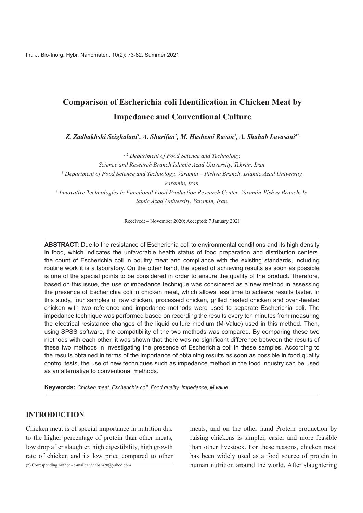# **Comparison of Escherichia coli Identification in Chicken Meat by Impedance and Conventional Culture**

Z. Zadbakhshi Seighalani<sup>1</sup>, A. Sharifan<sup>2</sup>, M. Hashemi Ravan<sup>3</sup>, A. Shahab Lavasani<sup>4</sup>

<sup>1,2</sup> Department of Food Science and Technology, *Science and Research Branch Islamic Azad University, Tehran, Iran.* <sup>3</sup> Department of Food Science and Technology, Varamin – Pishva Branch, Islamic Azad University, *Varamin*, *Iran.* <sup>4</sup> Innovative Technologies in Functional Food Production Research Center, Varamin-Pishva Branch, Is-<br>lamic Azad University, Varamin, Iran.

Received: 4 November 2020; Accepted: 7 January 2021

ABSTRACT: Due to the resistance of Escherichia coli to environmental conditions and its high density in food, which indicates the unfavorable health status of food preparation and distribution centers. the count of Escherichia coli in poultry meat and compliance with the existing standards, including routine work it is a laboratory. On the other hand, the speed of achieving results as soon as possible is one of the special points to be considered in order to ensure the quality of the product. Therefore, based on this issue, the use of impedance technique was considered as a new method in assessing the presence of Escherichia coli in chicken meat, which allows less time to achieve results faster. In this study, four samples of raw chicken, processed chicken, grilled heated chicken and oven-heated chicken with two reference and impedance methods were used to separate Escherichia coli. The impedance technique was performed based on recording the results every ten minutes from measuring the electrical resistance changes of the liquid culture medium (M-Value) used in this method. Then, using SPSS software, the compatibility of the two methods was compared. By comparing these two methods with each other, it was shown that there was no significant difference between the results of these two methods in investigating the presence of Escherichia coli in these samples. According to the results obtained in terms of the importance of obtaining results as soon as possible in food quality control tests, the use of new techniques such as impedance method in the food industry can be used as an alternative to conventional methods.

**Keywords:** Chicken meat, Escherichia coli, Food quality, Impedance, M value

## **INTRODUCTION**

Chicken meat is of special importance in nutrition due to the higher percentage of protein than other meats, low drop after slaughter, high digestibility, high growth rate of chicken and its low price compared to other

(\*) Corresponding Author - e-mail: shahabam  $20\omega$ yahoo.com

meats, and on the other hand Protein production by raising chickens is simpler, easier and more feasible than other livestock. For these reasons, chicken meat has been widely used as a food source of protein in human nutrition around the world. After slaughtering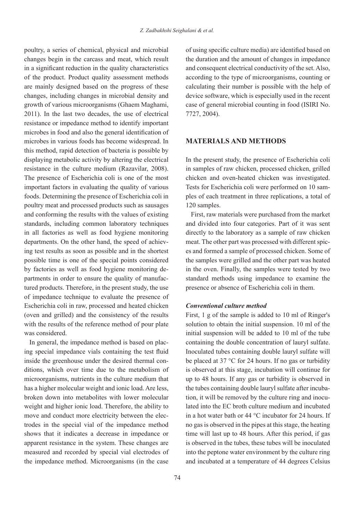poultry, a series of chemical, physical and microbial changes begin in the carcass and meat, which result in a significant reduction in the quality characteristics of the product. Product quality assessment methods are mainly designed based on the progress of these changes, including changes in microbial density and growth of various microorganisms (Ghaem Maghami,  $2011$ ). In the last two decades, the use of electrical resistance or impedance method to identify important microbes in food and also the general identification of microbes in various foods has become widespread. In this method, rapid detection of bacteria is possible by displaying metabolic activity by altering the electrical resistance in the culture medium (Razavilar, 2008). The presence of Escherichia coli is one of the most important factors in evaluating the quality of various foods. Determining the presence of Escherichia coli in poultry meat and processed products such as sausages and conforming the results with the values of existing standards, including common laboratory techniques in all factories as well as food hygiene monitoring ing test results as soon as possible and in the shortest departments. On the other hand, the speed of achievpossible time is one of the special points considered tured products. Therefore, in the present study, the use partments in order to ensure the quality of manufacby factories as well as food hygiene monitoring deof impedance technique to evaluate the presence of Escherichia coli in raw, processed and heated chicken (oven and grilled) and the consistency of the results with the results of the reference method of pour plate was considered.

ing special impedance vials containing the test fluid In general, the impedance method is based on placditions, which over time due to the metabolism of inside the greenhouse under the desired thermal conmicroorganisms, nutrients in the culture medium that has a higher molecular weight and ionic load. Are less, broken down into metabolites with lower molecular weight and higher ionic load. Therefore, the ability to trodes in the special vial of the impedance method move and conduct more electricity between the elecshows that it indicates a decrease in impedance or apparent resistance in the system. These changes are measured and recorded by special vial electrodes of the impedance method. Microorganisms (in the case of using specific culture media) are identified based on the duration and the amount of changes in impedance and consequent electrical conductivity of the set. Also, according to the type of microorganisms, counting or calculating their number is possible with the help of device software, which is especially used in the recent case of general microbial counting in food (ISIRI No. 7727, 2004).

## **MATERIALS AND METHODS**

In the present study, the presence of Escherichia coli in samples of raw chicken, processed chicken, grilled chicken and oven-heated chicken was investigated. ples of each treatment in three replications, a total of Tests for Escherichia coli were performed on 10 sam-120 samples.

First, raw materials were purchased from the market and divided into four categories. Part of it was sent directly to the laboratory as a sample of raw chicken es and formed a sample of processed chicken. Some of meat. The other part was processed with different spicthe samples were grilled and the other part was heated in the oven. Finally, the samples were tested by two standard methods using impedance to examine the presence or absence of Escherichia coli in them.

### *Conventional culture method*

First,  $1 \text{ g}$  of the sample is added to  $10 \text{ ml}$  of Ringer's solution to obtain the initial suspension.  $10$  ml of the  $initial$  suspension will be added to 10 ml of the tube containing the double concentration of lauryl sulfate. Inoculated tubes containing double lauryl sulfate will be placed at 37  $\degree$ C for 24 hours. If no gas or turbidity is observed at this stage, incubation will continue for up to 48 hours. If any gas or turbidity is observed in lated into the EC broth culture medium and incubated tion, it will be removed by the culture ring and inocuthe tubes containing double lauryl sulfate after incubain a hot water bath or  $44^{\circ}$ C incubator for 24 hours. If heating the stage the stage the in order that this stage, the heating time will last up to 48 hours. After this period, if gas is observed in the tubes, these tubes will be inoculated into the peptone water environment by the culture ring and incubated at a temperature of 44 degrees Celsius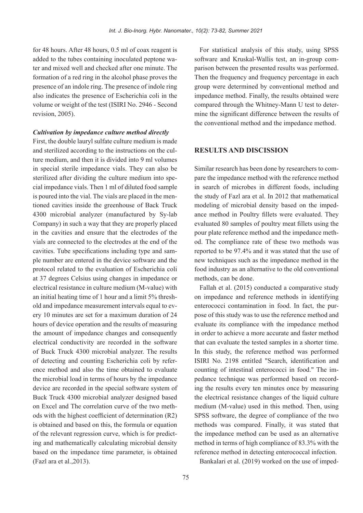for 48 hours. After 48 hours,  $0.5$  ml of coax reagent is ter and mixed well and checked after one minute. The added to the tubes containing inoculated peptone waformation of a red ring in the alcohol phase proves the presence of an indole ring. The presence of indole ring also indicates the presence of Escherichia coli in the volume or weight of the test (ISIRI No. 2946 - Second revision, 2005).

#### *Cultivation by impedance culture method directly*

First, the double lauryl sulfate culture medium is made ture medium, and then it is divided into 9 ml volumes and sterilized according to the instructions on the culin special sterile impedance vials. They can also be cial impedance vials. Then 1 ml of diluted food sample sterilized after dividing the culture medium into spetioned cavities inside the greenhouse of Back Truck is poured into the vial. The vials are placed in the men-4300 microbial analyzer (manufactured by Sy-lab Company) in such a way that they are properly placed in the cavities and ensure that the electrodes of the vials are connected to the electrodes at the end of the ple number are entered in the device software and the cavities. Tube specifications including type and samprotocol related to the evaluation of Escherichia coli at 37 degrees Celsius using changes in impedance or  $electrical resistance in culture medium (M-value) with$ ery 10 minutes are set for a maximum duration of 24 old and impedance measurement intervals equal to evan initial heating time of  $1$  hour and a limit  $5%$  threshhours of device operation and the results of measuring the amount of impedance changes and consequently electrical conductivity are recorded in the software of Buck Truck 4300 microbial analyzer. The results ence method and also the time obtained to evaluate of detecting and counting Escherichia coli by referthe microbial load in terms of hours by the impedance device are recorded in the special software system of Buck Truck 4300 microbial analyzer designed based ods with the highest coefficient of determination  $(R2)$ on Excel and The correlation curve of the two methis obtained and based on this, the formula or equation ing and mathematically calculating microbial density of the relevant regression curve, which is for predictbased on the impedance time parameter, is obtained  $(Fazl)$  ara et al., 2013).

For statistical analysis of this study, using SPSS parison between the presented results was performed. software and Kruskal-Wallis test, an in-group com-Then the frequency and frequency percentage in each group were determined by conventional method and impedance method. Finally, the results obtained were mine the significant difference between the results of compared through the Whitney-Mann U test to deterthe conventional method and the impedance method.

## **RESULTS AND DISCISSION**

pare the impedance method with the reference method Similar research has been done by researchers to comin search of microbes in different foods, including the study of Fazl ara et al. In 2012 that mathematical ance method in Poultry fillets were evaluated. They modeling of microbial density based on the impedevaluated 80 samples of poultry meat fillets using the od. The compliance rate of these two methods was pour plate reference method and the impedance methreported to be 97.4% and it was stated that the use of new techniques such as the impedance method in the food industry as an alternative to the old conventional methods, can be done.

Fallah et al.  $(2015)$  conducted a comparative study on impedance and reference methods in identifying pose of this study was to use the reference method and enterococci contamination in food. In fact, the purevaluate its compliance with the impedance method in order to achieve a more accurate and faster method that can evaluate the tested samples in a shorter time. In this study, the reference method was performed ISIRI No. 2198 entitled "Search, identification and ing the results every ten minutes once by measuring pedance technique was performed based on recordcounting of intestinal enterococci in food." The imthe electrical resistance changes of the liquid culture medium (M-value) used in this method. Then, using SPSS software, the degree of compliance of the two methods was compared. Finally, it was stated that the impedance method can be used as an alternative method in terms of high compliance of 83.3% with the reference method in detecting enterococcal infection.

Bankalari et al. (2019) worked on the use of imped-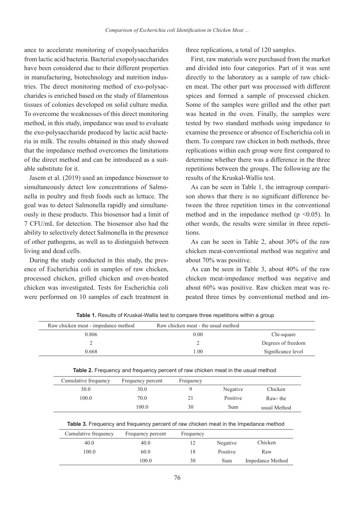ance to accelerate monitoring of exopolysaccharides from lactic acid bacteria. Bacterial exopolysaccharides have been considered due to their different properties charides is enriched based on the study of filamentous tries. The direct monitoring method of exo-polysacin manufacturing, biotechnology and nutrition industissues of colonies developed on solid culture media. To overcome the weaknesses of this direct monitoring method, in this study, impedance was used to evaluate ria in milk. The results obtained in this study showed the exo-polysaccharide produced by lactic acid bactethat the impedance method overcomes the limitations of the direct method and can be introduced as a suitable substitute for it.

Jasem et al. (2019) used an impedance biosensor to nella in poultry and fresh foods such as lettuce. The simultaneously detect low concentrations of Salmoously in these products. This biosensor had a limit of goal was to detect Salmonella rapidly and simultane-7 CFU/mL for detection. The biosensor also had the ability to selectively detect Salmonella in the presence of other pathogens, as well as to distinguish between living and dead cells.

ence of Escherichia coli in samples of raw chicken, During the study conducted in this study, the presprocessed chicken, grilled chicken and oven-heated chicken was investigated. Tests for Escherichia coli were performed on 10 samples of each treatment in three replications, a total of 120 samples.

First, raw materials were purchased from the market and divided into four categories. Part of it was sent en meat. The other part was processed with different directly to the laboratory as a sample of raw chickspices and formed a sample of processed chicken. Some of the samples were grilled and the other part was heated in the oven. Finally, the samples were tested by two standard methods using impedance to examine the presence or absence of Escherichia coli in them. To compare raw chicken in both methods, three replications within each group were first compared to determine whether there was a difference in the three repetitions between the groups. The following are the results of the Kruskal-Wallis test.

tween the three repetition times in the conventional son shows that there is no significant difference be-As can be seen in Table 1, the intragroup comparimethod and in the impedance method ( $p \le 0.05$ ). In other words, the results were similar in three repetitions.

As can be seen in Table 2, about  $30\%$  of the raw chicken meat-conventional method was negative and about 70% was positive.

As can be seen in Table 3, about  $40\%$  of the raw chicken meat-impedance method was negative and about 60% was positive. Raw chicken meat was re-<br>peated three times by conventional method and imabout 60% was positive. Raw chicken meat was re-

| Raw chicken meat - impedance method | Raw chicken meat - the usual method |                    |
|-------------------------------------|-------------------------------------|--------------------|
| 0.806                               | 0.00                                | Chi-square         |
|                                     |                                     | Degrees of freedom |
| 0.668                               | 1.00                                | Significance level |
|                                     |                                     |                    |

Table 1. Results of Kruskal-Wallis test to compare three repetitions within a group

**Table 2.** Frequency and frequency percent of raw chicken meat in the usual method

| Cumulative frequency | Frequency percent | Frequency |          |              |
|----------------------|-------------------|-----------|----------|--------------|
| 30.0                 | 30.0              |           | Negative | Chicken      |
| 100.0                | 70.0              |           | Positive | Raw-the      |
|                      | 100.0             | 30        | Sum      | usual Method |

**Table 3.** Frequency and frequency percent of raw chicken meat in the Impedance method

| Cumulative frequency | Frequency percent | Frequency |          |                         |
|----------------------|-------------------|-----------|----------|-------------------------|
| 40.0                 | 40.0              |           | Negative | Chicken                 |
| 100.0                | 60.0              | 18        | Positive | Raw                     |
|                      | 100.0             | 30        | Sum      | <b>Impedance Method</b> |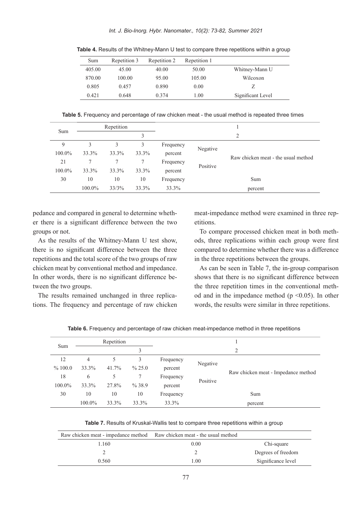| Sum    | Repetition 3 | Repetition 2 | Repetition 1 |                   |
|--------|--------------|--------------|--------------|-------------------|
| 405.00 | 45.00        | 40.00        | 50.00        | Whitney-Mann U    |
| 870.00 | 100.00       | 95.00        | 105.00       | Wilcoxon          |
| 0.805  | 0.457        | 0.890        | 0.00         |                   |
| 0.421  | 0.648        | 0.374        | 1.00         | Significant Level |

Table 4. Results of the Whitney-Mann U test to compare three repetitions within a group

Table 5. Frequency and percentage of raw chicken meat - the usual method is repeated three times

|        |        | Repetition |       |           |          |                                     |
|--------|--------|------------|-------|-----------|----------|-------------------------------------|
| Sum    |        |            |       |           |          | $\overline{c}$                      |
| 9      | 3      | 3          | 3     | Frequency |          |                                     |
| 100.0% | 33.3%  | 33.3%      | 33.3% | percent   | Negative |                                     |
| 21     | 7      | 7          | 7     | Frequency | Positive | Raw chicken meat - the usual method |
| 100.0% | 33.3%  | 33.3%      | 33.3% | percent   |          |                                     |
| 30     | 10     | 10         | 10    | Frequency |          | Sum                                 |
|        | 100.0% | 33/3%      | 33.3% | 33.3%     |          | percent                             |

er there is a significant difference between the two pedance and compared in general to determine whethgroups or not.

As the results of the Whitney-Mann U test show, there is no significant difference between the three repetitions and the total score of the two groups of raw chicken meat by conventional method and impedance. In other words, there is no significant difference be-<br>tween the two groups.

tions. The frequency and percentage of raw chicken The results remained unchanged in three replicameat-impedance method were examined in three repetitions.

ods, three replications within each group were first To compare processed chicken meat in both methcompared to determine whether there was a difference in the three repetitions between the groups.

As can be seen in Table 7, the in-group comparison shows that there is no significant difference between od and in the impedance method ( $p \le 0.05$ ). In other the three repetition times in the conventional methwords, the results were similar in three repetitions.

|        | Repetition<br>3 |       |           |           |          |                                     |
|--------|-----------------|-------|-----------|-----------|----------|-------------------------------------|
| Sum    |                 |       |           |           | 2        |                                     |
| 12     | 4               | 5     | 3         | Frequency | Negative |                                     |
| %100.0 | 33.3%           | 41.7% | $\%$ 25.0 | percent   |          |                                     |
| 18     | 6               | 5     |           | Frequency | Positive | Raw chicken meat - Impedance method |
| 100.0% | 33.3%           | 27.8% | $\%38.9$  | percent   |          |                                     |
| 30     | 10              | 10    | 10        | Frequency |          | Sum                                 |
|        | 100.0%          | 33.3% | 33.3%     | 33.3%     |          | percent                             |

Table 6. Frequency and percentage of raw chicken meat-impedance method in three repetitions

Table 7. Results of Kruskal-Wallis test to compare three repetitions within a group

| Raw chicken meat - impedance method Raw chicken meat - the usual method |      |                    |
|-------------------------------------------------------------------------|------|--------------------|
| . 160                                                                   | 0.00 | Chi-square         |
|                                                                         |      | Degrees of freedom |
| 0.560                                                                   | 1 00 | Significance level |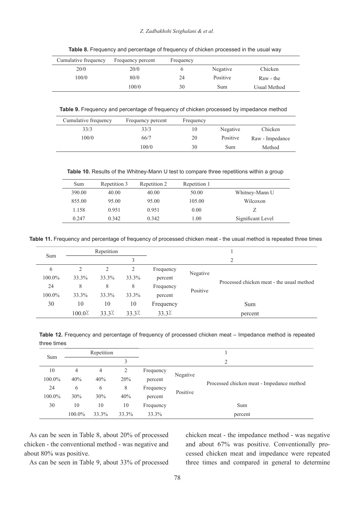#### Z. Zadbakhshi Seighalani & et al.

| Cumulative frequency | Frequency percent | Frequency |          |              |  |
|----------------------|-------------------|-----------|----------|--------------|--|
| 20/0                 | 20/0              |           | Negative | Chicken      |  |
| 100/0                | 80/0              | 24        | Positive | Raw - the    |  |
|                      | 100/0             | 30        | Sum      | Usual Method |  |

Table 8. Frequency and percentage of frequency of chicken processed in the usual way

Table 9. Frequency and percentage of frequency of chicken processed by impedance method

| Cumulative frequency | Frequency percent | Frequency |          |                 |
|----------------------|-------------------|-----------|----------|-----------------|
| 33/3                 | 33/3              | 10        | Negative | Chicken         |
| 100/0                | 66/7              | 20        | Positive | Raw - Impedance |
|                      | 100/0             | 30        | Sum      | Method          |

Table 10. Results of the Whitney-Mann U test to compare three repetitions within a group

| Sum    | Repetition 3 | Repetition 2 | Repetition 1 |                   |
|--------|--------------|--------------|--------------|-------------------|
| 390.00 | 40.00        | 40.00        | 50.00        | Whitney-Mann U    |
| 855.00 | 95.00        | 95.00        | 105.00       | Wilcoxon          |
| 1.158  | 0.951        | 0.951        | 0.00         |                   |
| 0.247  | 0.342        | 0.342        | 1.00         | Significant Level |

Table 11. Frequency and percentage of frequency of processed chicken meat - the usual method is repeated three times

|        | Repetition |       |       |           |          |                                           |
|--------|------------|-------|-------|-----------|----------|-------------------------------------------|
| Sum    |            |       | 3     |           |          | 2                                         |
| 6      | 2          | 2     | 2     | Frequency | Negative |                                           |
| 100.0% | 33.3%      | 33.3% | 33.3% | percent   |          | Processed chicken meat - the usual method |
| 24     | 8          | 8     | 8     | Frequency | Positive |                                           |
| 100.0% | 33.3%      | 33.3% | 33.3% | percent   |          |                                           |
| 30     | 10         | 10    | 10    | Frequency |          | Sum                                       |
|        | $100.0$ %  | 33.3% | 33.3% | 33.3%     |          | percent                                   |

Table 12. Frequency and percentage of frequency of processed chicken meat – Impedance method is repeated three times

| Repetition |          |       |       |           |          |                                           |  |  |
|------------|----------|-------|-------|-----------|----------|-------------------------------------------|--|--|
|            | Sum<br>3 |       |       | 2         |          |                                           |  |  |
| 10         | 4        | 4     | 2     | Frequency | Negative |                                           |  |  |
| 100.0%     | 40%      | 40%   | 20%   | percent   |          | Processed chicken meat - Impedance method |  |  |
| 24         | 6        | 6     | 8     | Frequency | Positive |                                           |  |  |
| 100.0%     | 30%      | 30%   | 40%   | percent   |          |                                           |  |  |
| 30         | 10       | 10    | 10    | Frequency |          | Sum                                       |  |  |
|            | 100.0%   | 33.3% | 33.3% | 33.3%     |          | percent                                   |  |  |

As can be seen in Table 8, about 20% of processed chicken - the conventional method - was negative and about 80% was positive.

chicken meat - the impedance method - was negative cessed chicken meat and impedance were repeated and about 67% was positive. Conventionally prothree times and compared in general to determine

As can be seen in Table 9, about 33% of processed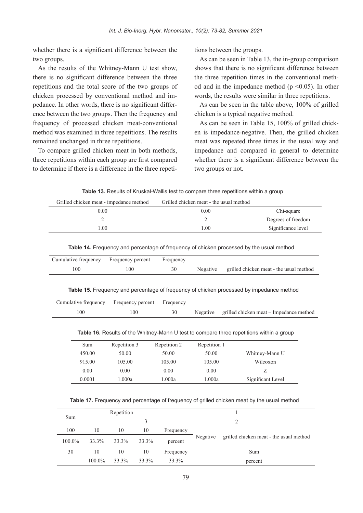whether there is a significant difference between the two groups.

As the results of the Whitney-Mann-U test show, there is no significant difference between the three repetitions and the total score of the two groups of ence between the two groups. Then the frequency and pedance. In other words, there is no significant differchicken processed by conventional method and imfrequency of processed chicken meat-conventional method was examined in three repetitions. The results remained unchanged in three repetitions.

To compare grilled chicken meat in both methods, three repetitions within each group are first compared to determine if there is a difference in the three repeti-

As can be seen in Table 13, the in-group comparison shows that there is no significant difference between od and in the impedance method ( $p \le 0.05$ ). In other the three repetition times in the conventional methwords, the results were similar in three repetitions.

As can be seen in the table above,  $100\%$  of grilled chicken is a typical negative method.

tions between the groups.<br>
As can be seen in Table<br>
1, shows that there is no signe<br>
the three repetition times<br>
od and in the impedance<br>
words, the results were si<br>
As can be seen in the t<br>
chicken is a typical negat<br>
1<br> en is impedance-negative. Then, the grilled chicken As can be seen in Table 15, 100% of grilled chickmeat was repeated three times in the usual way and impedance and compared in general to determine whether there is a significant difference between the two groups or not.

Table 13. Results of Kruskal-Wallis test to compare three repetitions within a group

| Grilled chicken meat - impedance method | Grilled chicken meat - the usual method |                    |
|-----------------------------------------|-----------------------------------------|--------------------|
| 0.00                                    | 0.00                                    | Chi-square         |
|                                         |                                         | Degrees of freedom |
| $\pm 00$                                | 00 <sup>1</sup>                         | Significance level |

Table 14. Frequency and percentage of frequency of chicken processed by the usual method

| Cumulative frequency Frequency percent |     | Frequency |          |                                         |
|----------------------------------------|-----|-----------|----------|-----------------------------------------|
| 100                                    | 100 |           | Negative | grilled chicken meat - the usual method |

#### Table 15. Frequency and percentage of frequency of chicken processed by impedance method

| Cumulative frequency Frequency percent Frequency |     |  |                                                  |
|--------------------------------------------------|-----|--|--------------------------------------------------|
| 100                                              | 100 |  | Negative grilled chicken meat – Impedance method |

Table 16. Results of the Whitney-Mann U test to compare three repetitions within a group

| Sum    | Repetition 3 | Repetition 2 | Repetition 1 |                   |
|--------|--------------|--------------|--------------|-------------------|
| 450.00 | 50.00        | 50.00        | 50.00        | Whitney-Mann U    |
| 915.00 | 105.00       | 105.00       | 105.00       | Wilcoxon          |
| 0.00   | 0.00         | 0.00         | 0.00         |                   |
| 0.0001 | 1.000a       | 1.000a       | 1.000a       | Significant Level |

Table 17. Frequency and percentage of frequency of grilled chicken meat by the usual method

|        | Repetition |       |       |           |          |                                         |  |  |  |
|--------|------------|-------|-------|-----------|----------|-----------------------------------------|--|--|--|
| Sum    |            |       |       |           |          |                                         |  |  |  |
| 100    | 10         | 10    | 10    | Frequency |          |                                         |  |  |  |
| 100.0% | 33.3%      | 33.3% | 33.3% | percent   | Negative | grilled chicken meat - the usual method |  |  |  |
| 30     | 10         | 10    | 10    | Frequency |          | Sum                                     |  |  |  |
|        | 100.0%     | 33.3% | 33.3% | 33.3%     |          | percent                                 |  |  |  |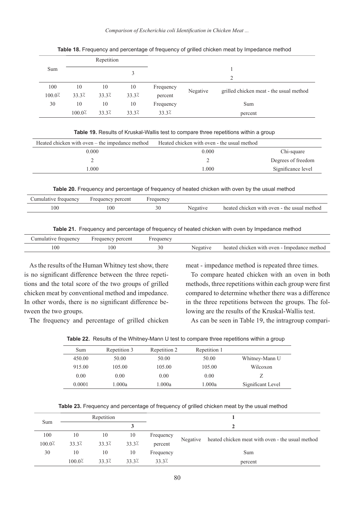*... Meat Chicken in Identification coli Escherichia of Comparison*

|                                         | Repetition                              |       |       |           |          |                                         |  |
|-----------------------------------------|-----------------------------------------|-------|-------|-----------|----------|-----------------------------------------|--|
| Sum                                     |                                         |       |       |           |          |                                         |  |
|                                         |                                         |       |       | 2         |          |                                         |  |
| 100                                     | 10                                      | 10    | 10    | Frequency |          |                                         |  |
| $100.0$ <sup><math>\lambda</math></sup> | 33.3%                                   | 33.3% | 33.3% | percent   | Negative | grilled chicken meat - the usual method |  |
| 30                                      | 10                                      | 10    | 10    | Frequency |          | Sum                                     |  |
|                                         | $100.0$ <sup><math>\lambda</math></sup> | 33.3% | 33.3% | 33.3%     |          | percent                                 |  |

Table 18. Frequency and percentage of frequency of grilled chicken meat by Impedance method

| Table 19. Results of Kruskal-Wallis test to compare three repetitions within a group |  |  |  |
|--------------------------------------------------------------------------------------|--|--|--|
|--------------------------------------------------------------------------------------|--|--|--|

| Heated chicken with oven – the impedance method | Heated chicken with oven - the usual method |                    |
|-------------------------------------------------|---------------------------------------------|--------------------|
| 0.000                                           | 0.000                                       | Chi-square         |
|                                                 |                                             | Degrees of freedom |
| .000                                            | 000 <sub>1</sub>                            | Significance level |

Table 20. Frequency and percentage of frequency of heated chicken with oven by the usual method

| trequency<br>umulative | bercent<br>Frequency | requency     |          |                                             |
|------------------------|----------------------|--------------|----------|---------------------------------------------|
| 100                    | l OC                 | $\sim$<br>ーぃ | Negative | heated chicken with oven - the usual method |

|  |  | Table 21. Frequency and percentage of frequency of heated chicken with oven by Impedance method |  |  |  |  |  |  |
|--|--|-------------------------------------------------------------------------------------------------|--|--|--|--|--|--|
|--|--|-------------------------------------------------------------------------------------------------|--|--|--|--|--|--|

| Cumulative frequency | Frequency percent | requency |          |                                             |
|----------------------|-------------------|----------|----------|---------------------------------------------|
| 100                  | .00               |          | Negative | heated chicken with oven - Impedance method |

As the results of the Human Whitney test show, there tions and the total score of the two groups of grilled is no significant difference between the three repetichicken meat by conventional method and impedance. In other words, there is no significant difference be-<br>tween the two groups.

The frequency and percentage of grilled chicken

meat - impedance method is repeated three times.

To compare heated chicken with an oven in both methods, three repetitions within each group were first compared to determine whether there was a difference in the three repetitions between the groups. The following are the results of the Kruskal-Wallis test.

As can be seen in Table 19, the intragroup compari-

|  |  |  |  |  | Table 22. Results of the Whitney-Mann U test to compare three repetitions within a group |  |  |
|--|--|--|--|--|------------------------------------------------------------------------------------------|--|--|
|--|--|--|--|--|------------------------------------------------------------------------------------------|--|--|

| Sum    | Repetition 3 | Repetition 2 | Repetition 1 |                   |
|--------|--------------|--------------|--------------|-------------------|
| 450.00 | 50.00        | 50.00        | 50.00        | Whitney-Mann U    |
| 915.00 | 105.00       | 105.00       | 105.00       | Wilcoxon          |
| 0.00   | 0.00         | 0.00         | 0.00         |                   |
| 0.0001 | 1.000a       | 1.000a       | 1.000a       | Significant Level |

Table 23. Frequency and percentage of frequency of grilled chicken meat by the usual method

|                                         |                                         | Repetition |       |           |          |                                                  |
|-----------------------------------------|-----------------------------------------|------------|-------|-----------|----------|--------------------------------------------------|
| Sum                                     |                                         |            |       |           |          |                                                  |
| 100                                     | 10                                      | 10         | 10    | Frequency | Negative | heated chicken meat with oven - the usual method |
| $100.0$ <sup><math>\lambda</math></sup> | 33.3%                                   | 33.3%      | 33.3% | percent   |          |                                                  |
| 30                                      | 10                                      | 10         | 10    | Frequency |          | Sum                                              |
|                                         | $100.0$ <sup><math>\lambda</math></sup> | 33.3%      | 33.3% | 33.3%     |          | percent                                          |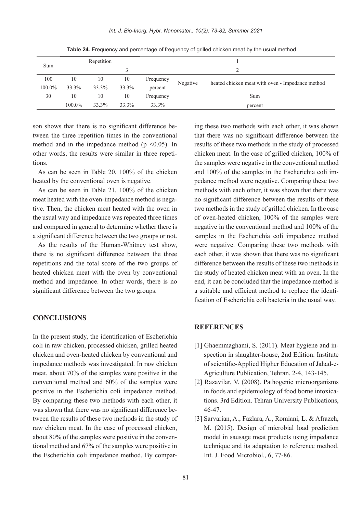|        |        | Repetition |       |               |          |                                                  |
|--------|--------|------------|-------|---------------|----------|--------------------------------------------------|
| Sum    |        |            |       | $\mathcal{L}$ |          |                                                  |
| 100    | 10     | 10         | 10    | Frequency     |          |                                                  |
| 100.0% | 33.3%  | 33.3%      | 33.3% | percent       | Negative | heated chicken meat with oven - Impedance method |
| 30     | 10     | 10         | 10    | Frequency     |          | Sum                                              |
|        | 100.0% | 33.3%      | 33.3% | 33.3%         |          | percent                                          |

Table 24. Frequency and percentage of frequency of grilled chicken meat by the usual method

tween the three repetition times in the conventional son shows that there is no significant difference bemethod and in the impedance method ( $p \le 0.05$ ). In other words, the results were similar in three repetitions.

As can be seen in Table 20,  $100\%$  of the chicken heated by the conventional oven is negative.

As can be seen in Table 21,  $100\%$  of the chicken tive. Then, the chicken meat heated with the oven in meat heated with the oven-impedance method is negathe usual way and impedance was repeated three times and compared in general to determine whether there is a significant difference between the two groups or not.

As the results of the Human-Whitney test show. there is no significant difference between the three repetitions and the total score of the two groups of heated chicken meat with the oven by conventional method and impedance. In other words, there is no significant difference between the two groups.

## **CONCLUSIONS**

In the present study, the identification of Escherichia coli in raw chicken, processed chicken, grilled heated chicken and oven-heated chicken by conventional and impedance methods was investigated. In raw chicken meat, about  $70\%$  of the samples were positive in the conventional method and  $60\%$  of the samples were positive in the Escherichia coli impedance method. By comparing these two methods with each other, it tween the results of these two methods in the study of was shown that there was no significant difference beraw chicken meat. In the case of processed chicken, tional method and 67% of the samples were positive in about  $80\%$  of the samples were positive in the conventhe Escherichia coli impedance method. By compar-

im these two methods with each other, it was shown<br>
1 tratt there was no significant difference between the<br>
1 results of these ano methods in the study of processed<br>
chicken meat. In the case of grilled chicken, 100% of<br> that there was no significant difference between the results of these two methods in the study of processed chicken meat. In the case of grilled chicken,  $100\%$  of the samples were negative in the conventional method pedance method were negative. Comparing these two and 100% of the samples in the Escherichia coli immethods with each other, it was shown that there was no significant difference between the results of these two methods in the study of grilled chicken. In the case of oven-heated chicken,  $100\%$  of the samples were negative in the conventional method and  $100\%$  of the samples in the Escherichia coli impedance method were negative. Comparing these two methods with each other, it was shown that there was no significant difference between the results of these two methods in the study of heated chicken meat with an oven. In the end, it can be concluded that the impedance method is fication of Escherichia coli bacteria in the usual way. a suitable and efficient method to replace the identi-

#### **REFERENCES**

- spection in slaughter-house, 2nd Edition. Institute [1] Ghaemmaghami, S.  $(2011)$ . Meat hygiene and in-Agriculture Publication, Tehran, 2-4, 143-145. of scientific-Applied Higher Education of Jahad-e-
- [2] Razavilar, V.  $(2008)$ . Pathogenic microorganisms tions. 3rd Edition. Tehran University Publications. in foods and epidemiology of food borne intoxica-46-47.
- [3] Sarvarian, A., Fazlara, A., Romiani, L. & Afrazeh, M. (2015). Design of microbial load prediction model in sausage meat products using impedance technique and its adaptation to reference method. Int. J. Food Microbiol., 6, 77-86.